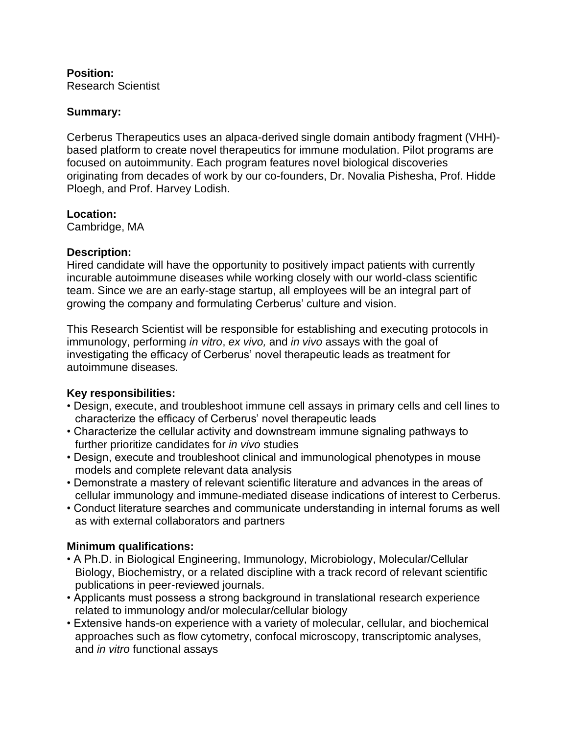### **Position:** Research Scientist

## **Summary:**

Cerberus Therapeutics uses an alpaca-derived single domain antibody fragment (VHH) based platform to create novel therapeutics for immune modulation. Pilot programs are focused on autoimmunity. Each program features novel biological discoveries originating from decades of work by our co-founders, Dr. Novalia Pishesha, Prof. Hidde Ploegh, and Prof. Harvey Lodish.

### **Location:**

Cambridge, MA

## **Description:**

Hired candidate will have the opportunity to positively impact patients with currently incurable autoimmune diseases while working closely with our world-class scientific team. Since we are an early-stage startup, all employees will be an integral part of growing the company and formulating Cerberus' culture and vision.

This Research Scientist will be responsible for establishing and executing protocols in immunology, performing *in vitro*, *ex vivo,* and *in vivo* assays with the goal of investigating the efficacy of Cerberus' novel therapeutic leads as treatment for autoimmune diseases.

# **Key responsibilities:**

- Design, execute, and troubleshoot immune cell assays in primary cells and cell lines to characterize the efficacy of Cerberus' novel therapeutic leads
- Characterize the cellular activity and downstream immune signaling pathways to further prioritize candidates for *in vivo* studies
- Design, execute and troubleshoot clinical and immunological phenotypes in mouse models and complete relevant data analysis
- Demonstrate a mastery of relevant scientific literature and advances in the areas of cellular immunology and immune-mediated disease indications of interest to Cerberus.
- Conduct literature searches and communicate understanding in internal forums as well as with external collaborators and partners

# **Minimum qualifications:**

- A Ph.D. in Biological Engineering, Immunology, Microbiology, Molecular/Cellular Biology, Biochemistry, or a related discipline with a track record of relevant scientific publications in peer-reviewed journals.
- Applicants must possess a strong background in translational research experience related to immunology and/or molecular/cellular biology
- Extensive hands-on experience with a variety of molecular, cellular, and biochemical approaches such as flow cytometry, confocal microscopy, transcriptomic analyses, and *in vitro* functional assays